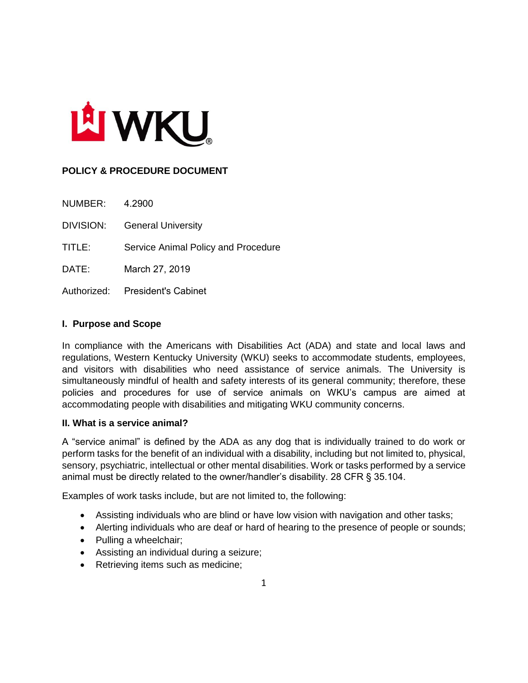

# **POLICY & PROCEDURE DOCUMENT**

| NUMBER:   | 4.2900                              |
|-----------|-------------------------------------|
| DIVISION: | <b>General University</b>           |
| TITLE:    | Service Animal Policy and Procedure |
| DATE:     | March 27, 2019                      |
|           | Authorized: President's Cabinet     |

#### **I. Purpose and Scope**

In compliance with the Americans with Disabilities Act (ADA) and state and local laws and regulations, Western Kentucky University (WKU) seeks to accommodate students, employees, and visitors with disabilities who need assistance of service animals. The University is simultaneously mindful of health and safety interests of its general community; therefore, these policies and procedures for use of service animals on WKU's campus are aimed at accommodating people with disabilities and mitigating WKU community concerns.

#### **II. What is a service animal?**

A "service animal" is defined by the ADA as any dog that is individually trained to do work or perform tasks for the benefit of an individual with a disability, including but not limited to, physical, sensory, psychiatric, intellectual or other mental disabilities. Work or tasks performed by a service animal must be directly related to the owner/handler's disability. 28 CFR § 35.104.

Examples of work tasks include, but are not limited to, the following:

- Assisting individuals who are blind or have low vision with navigation and other tasks;
- Alerting individuals who are deaf or hard of hearing to the presence of people or sounds;
- Pulling a wheelchair;
- Assisting an individual during a seizure;
- Retrieving items such as medicine;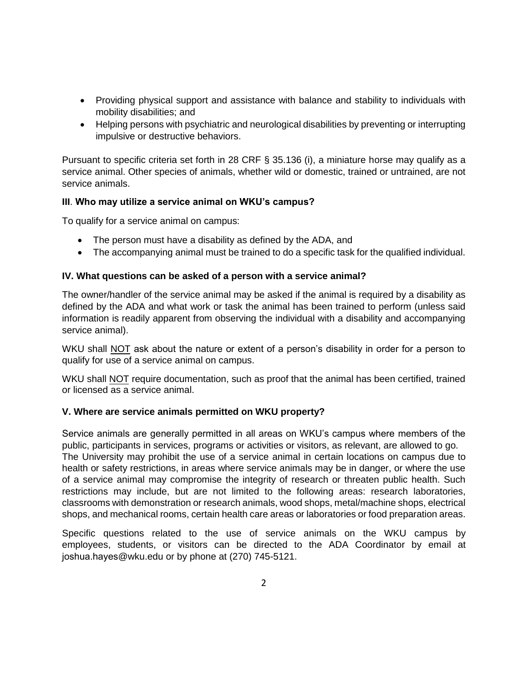- Providing physical support and assistance with balance and stability to individuals with mobility disabilities; and
- Helping persons with psychiatric and neurological disabilities by preventing or interrupting impulsive or destructive behaviors.

Pursuant to specific criteria set forth in 28 CRF § 35.136 (i), a miniature horse may qualify as a service animal. Other species of animals, whether wild or domestic, trained or untrained, are not service animals.

## **III**. **Who may utilize a service animal on WKU's campus?**

To qualify for a service animal on campus:

- The person must have a disability as defined by the ADA, and
- The accompanying animal must be trained to do a specific task for the qualified individual.

#### **IV. What questions can be asked of a person with a service animal?**

The owner/handler of the service animal may be asked if the animal is required by a disability as defined by the ADA and what work or task the animal has been trained to perform (unless said information is readily apparent from observing the individual with a disability and accompanying service animal).

WKU shall NOT ask about the nature or extent of a person's disability in order for a person to qualify for use of a service animal on campus.

WKU shall NOT require documentation, such as proof that the animal has been certified, trained or licensed as a service animal.

#### **V. Where are service animals permitted on WKU property?**

Service animals are generally permitted in all areas on WKU's campus where members of the public, participants in services, programs or activities or visitors, as relevant, are allowed to go. The University may prohibit the use of a service animal in certain locations on campus due to health or safety restrictions, in areas where service animals may be in danger, or where the use of a service animal may compromise the integrity of research or threaten public health. Such restrictions may include, but are not limited to the following areas: research laboratories, classrooms with demonstration or research animals, wood shops, metal/machine shops, electrical shops, and mechanical rooms, certain health care areas or laboratories or food preparation areas.

Specific questions related to the use of service animals on the WKU campus by employees, students, or visitors can be directed to the ADA Coordinator by email at joshua.hayes@wku.edu or by phone at (270) 745-5121.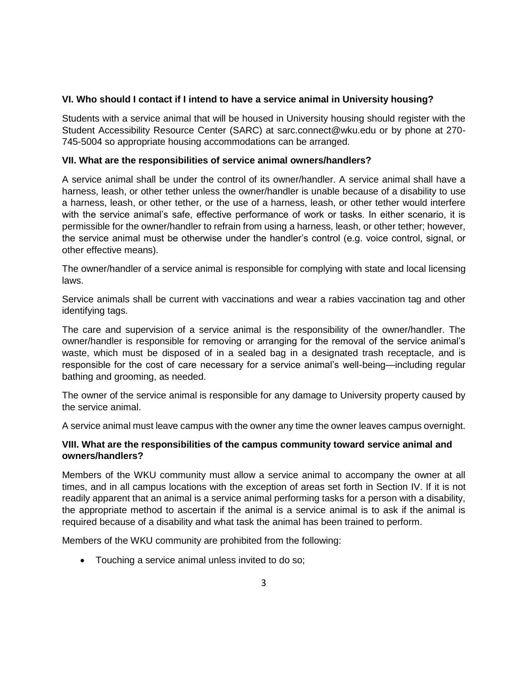## **VI. Who should I contact if I intend to have a service animal in University housing?**

Students with a service animal that will be housed in University housing should register with the Student Accessibility Resource Center (SARC) at sarc.connect@wku.edu or by phone at 270- 745-5004 so appropriate housing accommodations can be arranged.

#### **VII. What are the responsibilities of service animal owners/handlers?**

A service animal shall be under the control of its owner/handler. A service animal shall have a harness, leash, or other tether unless the owner/handler is unable because of a disability to use a harness, leash, or other tether, or the use of a harness, leash, or other tether would interfere with the service animal's safe, effective performance of work or tasks. In either scenario, it is permissible for the owner/handler to refrain from using a harness, leash, or other tether; however, the service animal must be otherwise under the handler's control (e.g. voice control, signal, or other effective means).

The owner/handler of a service animal is responsible for complying with state and local licensing laws.

Service animals shall be current with vaccinations and wear a rabies vaccination tag and other identifying tags.

The care and supervision of a service animal is the responsibility of the owner/handler. The owner/handler is responsible for removing or arranging for the removal of the service animal's waste, which must be disposed of in a sealed bag in a designated trash receptacle, and is responsible for the cost of care necessary for a service animal's well-being—including regular bathing and grooming, as needed.

The owner of the service animal is responsible for any damage to University property caused by the service animal.

A service animal must leave campus with the owner any time the owner leaves campus overnight.

## **VIII. What are the responsibilities of the campus community toward service animal and owners/handlers?**

Members of the WKU community must allow a service animal to accompany the owner at all times, and in all campus locations with the exception of areas set forth in Section IV. If it is not readily apparent that an animal is a service animal performing tasks for a person with a disability, the appropriate method to ascertain if the animal is a service animal is to ask if the animal is required because of a disability and what task the animal has been trained to perform.

Members of the WKU community are prohibited from the following:

• Touching a service animal unless invited to do so;